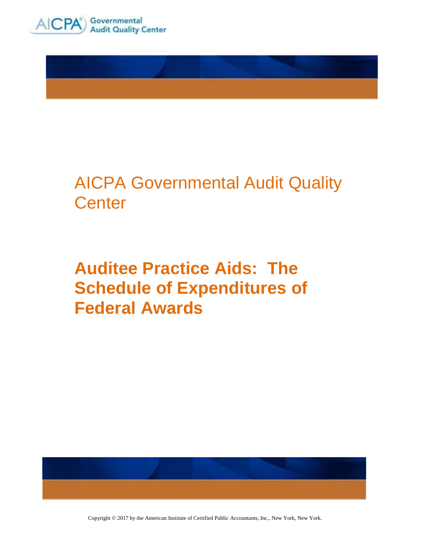



## AICPA Governmental Audit Quality **Center**

# **Auditee Practice Aids: The Schedule of Expenditures of Federal Awards**



Copyright © 2017 by the American Institute of Certified Public Accountants, Inc., New York, New York.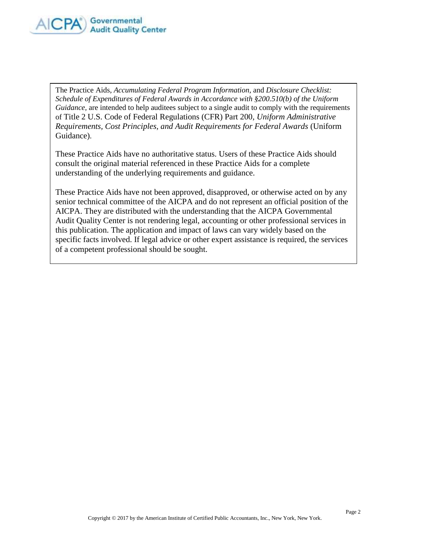

The Practice Aids, *Accumulating Federal Program Information*, and *Disclosure Checklist: Schedule of Expenditures of Federal Awards in Accordance with §200.510(b) of the Uniform Guidance*, are intended to help auditees subject to a single audit to comply with the requirements of Title 2 U.S. Code of Federal Regulations (CFR) Part 200, *Uniform Administrative Requirements, Cost Principles, and Audit Requirements for Federal Awards* (Uniform Guidance).

These Practice Aids have no authoritative status. Users of these Practice Aids should consult the original material referenced in these Practice Aids for a complete understanding of the underlying requirements and guidance.

These Practice Aids have not been approved, disapproved, or otherwise acted on by any senior technical committee of the AICPA and do not represent an official position of the AICPA. They are distributed with the understanding that the AICPA Governmental Audit Quality Center is not rendering legal, accounting or other professional services in this publication. The application and impact of laws can vary widely based on the specific facts involved. If legal advice or other expert assistance is required, the services of a competent professional should be sought.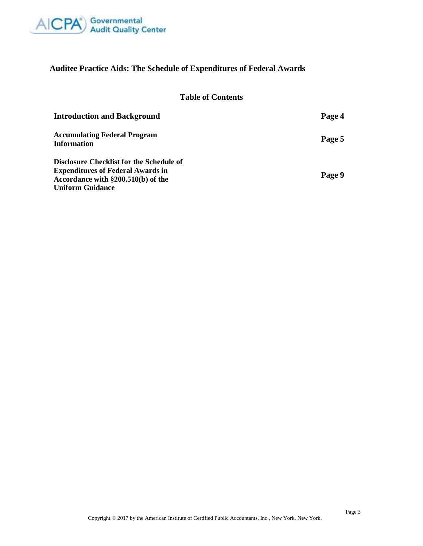

## **Auditee Practice Aids: The Schedule of Expenditures of Federal Awards**

## **Table of Contents**

| <b>Introduction and Background</b>                        | Page 4 |
|-----------------------------------------------------------|--------|
| <b>Accumulating Federal Program</b><br><b>Information</b> | Page 5 |
| Disclosure Checklist for the Schedule of                  |        |
| <b>Expenditures of Federal Awards in</b>                  |        |
| Accordance with §200.510(b) of the                        | Page 9 |
| <b>Uniform Guidance</b>                                   |        |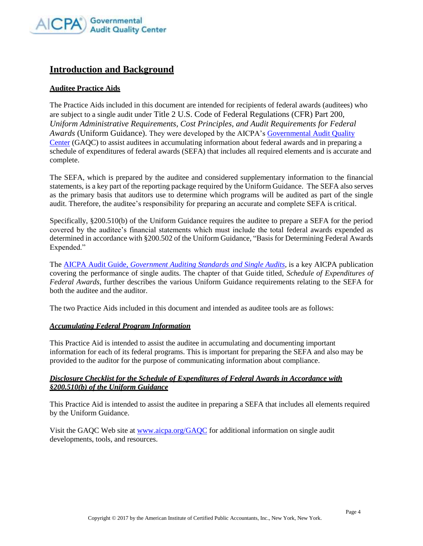

## **Introduction and Background**

### **Auditee Practice Aids**

The Practice Aids included in this document are intended for recipients of federal awards (auditees) who are subject to a single audit under Title 2 U.S. Code of Federal Regulations (CFR) Part 200, *Uniform Administrative Requirements, Cost Principles, and Audit Requirements for Federal Awards* (Uniform Guidance). They were developed by the AICPA's [Governmental Audit Quality](http://www.aicpa.org/gaqc) [Center](http://www.aicpa.org/gaqc) (GAQC) to assist auditees in accumulating information about federal awards and in preparing a schedule of expenditures of federal awards (SEFA) that includes all required elements and is accurate and complete.

The SEFA, which is prepared by the auditee and considered supplementary information to the financial statements, is a key part of the reporting package required by the Uniform Guidance. The SEFA also serves as the primary basis that auditors use to determine which programs will be audited as part of the single audit. Therefore, the auditee's responsibility for preparing an accurate and complete SEFA is critical.

Specifically, §200.510(b) of the Uniform Guidance requires the auditee to prepare a SEFA for the period covered by the auditee's financial statements which must include the total federal awards expended as determined in accordance with §200.502 of the Uniform Guidance, "Basis for Determining Federal Awards Expended."

The AICPA Audit Guide, *[Government Auditing Standards and Single Audits](https://www.cpa2biz.com/AST/Main/CPA2BIZ_Primary/Accounting/IndustryspecificGuidance/NotforProfit/PRDOVR~PC-012743/PC-012743.jsp)*, is a key AICPA publication covering the performance of single audits. The chapter of that Guide titled, *Schedule of Expenditures of Federal Awards*, further describes the various Uniform Guidance requirements relating to the SEFA for both the auditee and the auditor.

The two Practice Aids included in this document and intended as auditee tools are as follows:

#### *Accumulating Federal Program Information*

This Practice Aid is intended to assist the auditee in accumulating and documenting important information for each of its federal programs. This is important for preparing the SEFA and also may be provided to the auditor for the purpose of communicating information about compliance.

#### *Disclosure Checklist for the Schedule of Expenditures of Federal Awards in Accordance with §200.510(b) of the Uniform Guidance*

This Practice Aid is intended to assist the auditee in preparing a SEFA that includes all elements required by the Uniform Guidance.

Visit the GAQC Web site at [www.aicpa.org/GAQC](http://www.aicpa.org/GAQC) for additional information on single audit developments, tools, and resources.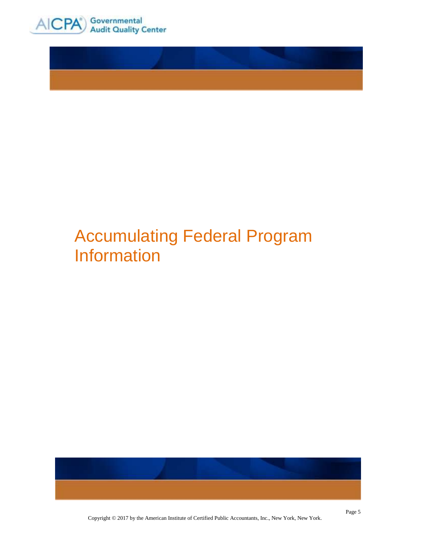

# Accumulating Federal Program Information



Copyright © 2017 by the American Institute of Certified Public Accountants, Inc., New York, New York.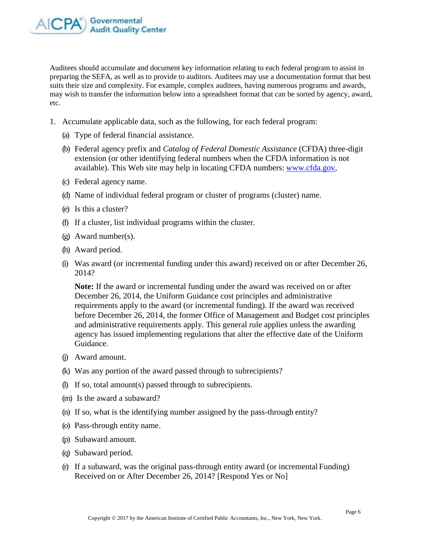

Auditees should accumulate and document key information relating to each federal program to assist in preparing the SEFA, as well as to provide to auditors. Auditees may use a documentation format that best suits their size and complexity. For example, complex auditees, having numerous programs and awards, may wish to transfer the information below into a spreadsheet format that can be sorted by agency, award, etc.

- 1. Accumulate applicable data, such as the following, for each federal program:
	- (a) Type of federal financial assistance.
	- (b) Federal agency prefix and *Catalog of Federal Domestic Assistance* (CFDA) three-digit extension (or other identifying federal numbers when the CFDA information is not available). This Web site may help in locating CFDA numbers: [www.cfda.gov,](http://www.cfda.gov/)
	- (c) Federal agency name.
	- (d) Name of individual federal program or cluster of programs (cluster) name.
	- (e) Is this a cluster?
	- (f) If a cluster, list individual programs within the cluster.
	- (g) Award number(s).
	- (h) Award period.
	- (i) Was award (or incremental funding under this award) received on or after December 26, 2014?

**Note:** If the award or incremental funding under the award was received on or after December 26, 2014, the Uniform Guidance cost principles and administrative requirements apply to the award (or incremental funding). If the award was received before December 26, 2014, the former Office of Management and Budget cost principles and administrative requirements apply. This general rule applies unless the awarding agency has issued implementing regulations that alter the effective date of the Uniform Guidance.

- (j) Award amount.
- (k) Was any portion of the award passed through to subrecipients?
- (l) If so, total amount(s) passed through to subrecipients.
- (m) Is the award a subaward?
- (n) If so, what is the identifying number assigned by the pass-through entity?
- (o) Pass-through entity name.
- (p) Subaward amount.
- (q) Subaward period.
- (r) If a subaward, was the original pass-through entity award (or incremental Funding) Received on or After December 26, 2014? [Respond Yes or No]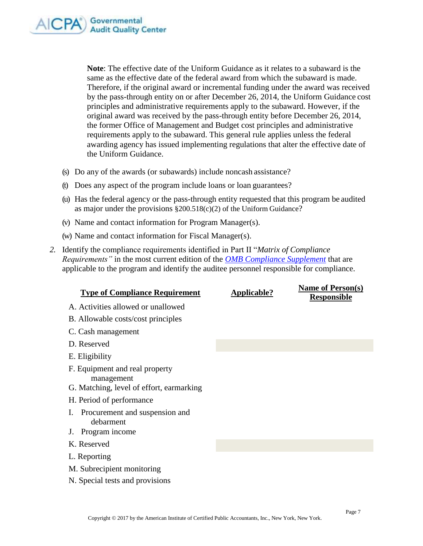

**Note**: The effective date of the Uniform Guidance as it relates to a subaward is the same as the effective date of the federal award from which the subaward is made. Therefore, if the original award or incremental funding under the award was received by the pass-through entity on or after December 26, 2014, the Uniform Guidance cost principles and administrative requirements apply to the subaward. However, if the original award was received by the pass-through entity before December 26, 2014, the former Office of Management and Budget cost principles and administrative requirements apply to the subaward. This general rule applies unless the federal awarding agency has issued implementing regulations that alter the effective date of the Uniform Guidance.

- (s) Do any of the awards (or subawards) include noncash assistance?
- (t) Does any aspect of the program include loans or loan guarantees?
- (u) Has the federal agency or the pass-through entity requested that this program be audited as major under the provisions §200.518(c)(2) of the Uniform Guidance?
- (v) Name and contact information for Program Manager(s).
- (w) Name and contact information for Fiscal Manager(s).
- *2.* Identify the compliance requirements identified in Part II "*Matrix of Compliance Requirements"* in the most current edition of the *[OMB Compliance Supplement](https://www.whitehouse.gov/omb/management/office-federal-financial-management/)* that are applicable to the program and identify the auditee personnel responsible for compliance.

| <b>Type of Compliance Requirement</b>                                                    | Applicable? | <b>Name of Person(s)</b><br><b>Responsible</b> |
|------------------------------------------------------------------------------------------|-------------|------------------------------------------------|
| A. Activities allowed or unallowed                                                       |             |                                                |
| B. Allowable costs/cost principles                                                       |             |                                                |
| C. Cash management                                                                       |             |                                                |
| D. Reserved                                                                              |             |                                                |
| E. Eligibility                                                                           |             |                                                |
| F. Equipment and real property<br>management<br>G. Matching, level of effort, earmarking |             |                                                |
| H. Period of performance                                                                 |             |                                                |
| Procurement and suspension and<br>Ι.<br>debarment<br>Program income<br>$J_{\star}$       |             |                                                |
| K. Reserved                                                                              |             |                                                |
| L. Reporting                                                                             |             |                                                |
| M. Subrecipient monitoring                                                               |             |                                                |
| N. Special tests and provisions                                                          |             |                                                |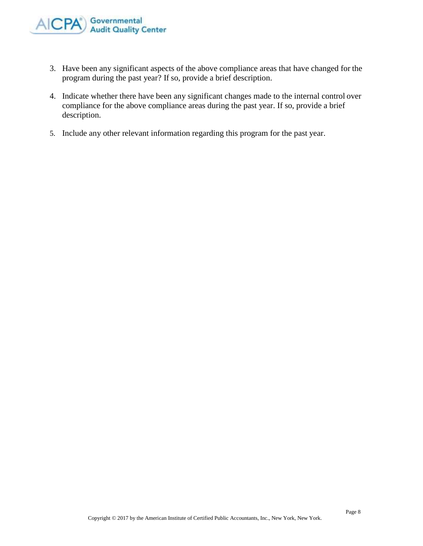

- 3. Have been any significant aspects of the above compliance areas that have changed for the program during the past year? If so, provide a brief description.
- 4. Indicate whether there have been any significant changes made to the internal control over compliance for the above compliance areas during the past year. If so, provide a brief description.
- 5. Include any other relevant information regarding this program for the past year.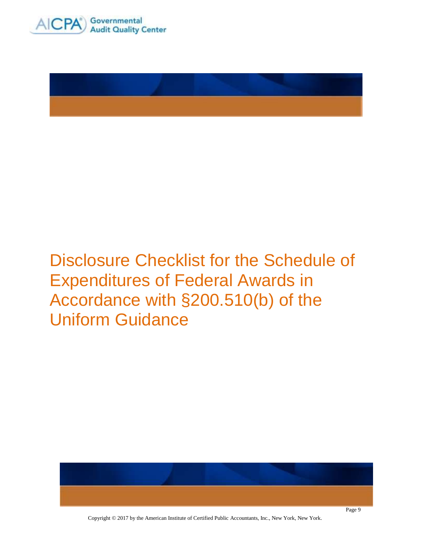



Disclosure Checklist for the Schedule of Expenditures of Federal Awards in Accordance with §200.510(b) of the Uniform Guidance



Copyright © 2017 by the American Institute of Certified Public Accountants, Inc., New York, New York.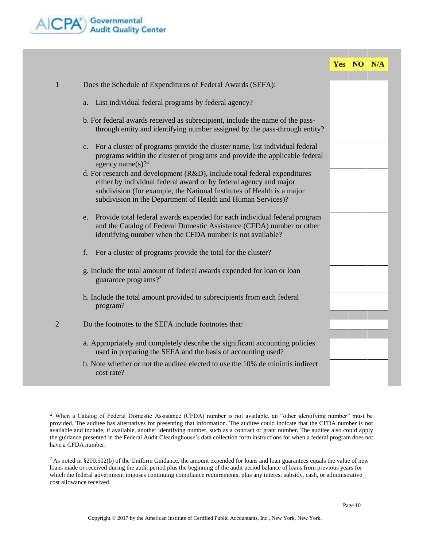

|                |                                                                                                                                                                                                                                                                                          | Yes NO N/A |  |
|----------------|------------------------------------------------------------------------------------------------------------------------------------------------------------------------------------------------------------------------------------------------------------------------------------------|------------|--|
|                |                                                                                                                                                                                                                                                                                          |            |  |
| $\mathbf{1}$   | Does the Schedule of Expenditures of Federal Awards (SEFA):                                                                                                                                                                                                                              |            |  |
|                | List individual federal programs by federal agency?<br>a.                                                                                                                                                                                                                                |            |  |
|                | b. For federal awards received as subrecipient, include the name of the pass-<br>through entity and identifying number assigned by the pass-through entity?                                                                                                                              |            |  |
|                | For a cluster of programs provide the cluster name, list individual federal<br>$\mathbf{c}$ .<br>programs within the cluster of programs and provide the applicable federal<br>agency name(s)? $1$                                                                                       |            |  |
|                | d. For research and development (R&D), include total federal expenditures<br>either by individual federal award or by federal agency and major<br>subdivision (for example, the National Institutes of Health is a major<br>subdivision in the Department of Health and Human Services)? |            |  |
|                | Provide total federal awards expended for each individual federal program<br>e.<br>and the Catalog of Federal Domestic Assistance (CFDA) number or other<br>identifying number when the CFDA number is not available?                                                                    |            |  |
|                | f.<br>For a cluster of programs provide the total for the cluster?                                                                                                                                                                                                                       |            |  |
|                | g. Include the total amount of federal awards expended for loan or loan<br>guarantee programs? <sup>2</sup>                                                                                                                                                                              |            |  |
|                | h. Include the total amount provided to subrecipients from each federal<br>program?                                                                                                                                                                                                      |            |  |
| $\overline{2}$ | Do the footnotes to the SEFA include footnotes that:                                                                                                                                                                                                                                     |            |  |
|                | a. Appropriately and completely describe the significant accounting policies<br>used in preparing the SEFA and the basis of accounting used?                                                                                                                                             |            |  |
|                | b. Note whether or not the auditee elected to use the 10% de minimis indirect<br>cost rate?                                                                                                                                                                                              |            |  |

<sup>&</sup>lt;sup>1</sup> When a Catalog of Federal Domestic Assistance (CFDA) number is not available, an "other identifying number" must be provided. The auditee has alternatives for presenting that information. The auditee could indicate that the CFDA number is not available and include, if available, another identifying number, such as a contract or grant number. The auditee also could apply the guidance presented in the Federal Audit Clearinghouse's data collection form instructions for when a federal program does not have a CFDA number.

 $2$ As noted in §200.502(b) of the Uniform Guidance, the amount expended for loans and loan guarantees equals the value of new loans made or received during the audit period plus the beginning of the audit period balance of loans from previous years for which the federal government imposes continuing compliance requirements, plus any interest subsidy, cash, or administrative cost allowance received.